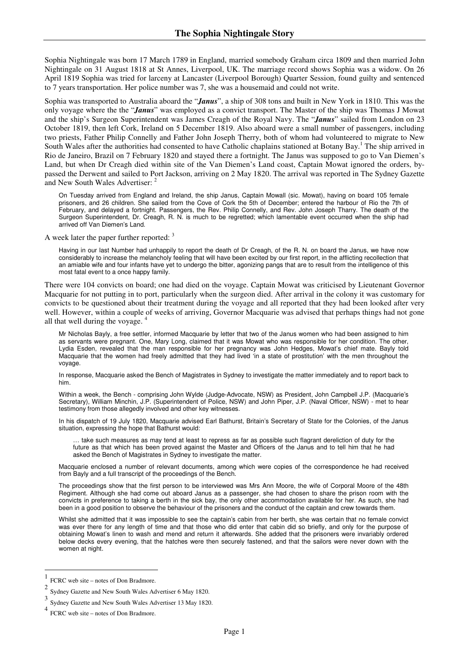Sophia Nightingale was born 17 March 1789 in England, married somebody Graham circa 1809 and then married John Nightingale on 31 August 1818 at St Annes, Liverpool, UK. The marriage record shows Sophia was a widow. On 26 April 1819 Sophia was tried for larceny at Lancaster (Liverpool Borough) Quarter Session, found guilty and sentenced to 7 years transportation. Her police number was 7, she was a housemaid and could not write.

Sophia was transported to Australia aboard the "*Janus*", a ship of 308 tons and built in New York in 1810. This was the only voyage where the the "*Janus*" was employed as a convict transport. The Master of the ship was Thomas J Mowat and the ship's Surgeon Superintendent was James Creagh of the Royal Navy. The "*Janus*" sailed from London on 23 October 1819, then left Cork, Ireland on 5 December 1819. Also aboard were a small number of passengers, including two priests, Father Philip Connelly and Father John Joseph Therry, both of whom had volunteered to migrate to New South Wales after the authorities had consented to have Catholic chaplains stationed at Botany Bay.<sup>1</sup> The ship arrived in Rio de Janeiro, Brazil on 7 February 1820 and stayed there a fortnight. The Janus was supposed to go to Van Diemen's Land, but when Dr Creagh died within site of the Van Diemen's Land coast, Captain Mowat ignored the orders, bypassed the Derwent and sailed to Port Jackson, arriving on 2 May 1820. The arrival was reported in The Sydney Gazette and New South Wales Advertiser:

On Tuesday arrived from England and Ireland, the ship Janus, Captain Mowall (sic. Mowat), having on board 105 female prisoners, and 26 children. She sailed from the Cove of Cork the 5th of December; entered the harbour of Rio the 7th of February, and delayed a fortnight. Passengers, the Rev. Philip Connelly, and Rev. John Joseph Tharry. The death of the Surgeon Superintendent, Dr. Creagh, R. N. is much to be regretted; which lamentable event occurred when the ship had arrived off Van Diemen's Land.

A week later the paper further reported: <sup>3</sup>

Having in our last Number had unhappily to report the death of Dr Creagh, of the R. N. on board the Janus, we have now considerably to increase the melancholy feeling that will have been excited by our first report, in the afflicting recollection that an amiable wife and four infants have yet to undergo the bitter, agonizing pangs that are to result from the intelligence of this most fatal event to a once happy family.

There were 104 convicts on board; one had died on the voyage. Captain Mowat was criticised by Lieutenant Governor Macquarie for not putting in to port, particularly when the surgeon died. After arrival in the colony it was customary for convicts to be questioned about their treatment during the voyage and all reported that they had been looked after very well. However, within a couple of weeks of arriving, Governor Macquarie was advised that perhaps things had not gone all that well during the voyage. <sup>4</sup>

Mr Nicholas Bayly, a free settler, informed Macquarie by letter that two of the Janus women who had been assigned to him as servants were pregnant. One, Mary Long, claimed that it was Mowat who was responsible for her condition. The other, Lydia Esden, revealed that the man responsible for her pregnancy was John Hedges, Mowat's chief mate. Bayly told Macquarie that the women had freely admitted that they had lived 'in a state of prostitution' with the men throughout the voyage.

In response, Macquarie asked the Bench of Magistrates in Sydney to investigate the matter immediately and to report back to him.

Within a week, the Bench - comprising John Wylde (Judge-Advocate, NSW) as President, John Campbell J.P. (Macquarie's Secretary), William Minchin, J.P. (Superintendent of Police, NSW) and John Piper, J.P. (Naval Officer, NSW) - met to hear testimony from those allegedly involved and other key witnesses.

In his dispatch of 19 July 1820, Macquarie advised Earl Bathurst, Britain's Secretary of State for the Colonies, of the Janus situation, expressing the hope that Bathurst would:

… take such measures as may tend at least to repress as far as possible such flagrant dereliction of duty for the future as that which has been proved against the Master and Officers of the Janus and to tell him that he had asked the Bench of Magistrates in Sydney to investigate the matter.

Macquarie enclosed a number of relevant documents, among which were copies of the correspondence he had received from Bayly and a full transcript of the proceedings of the Bench.

The proceedings show that the first person to be interviewed was Mrs Ann Moore, the wife of Corporal Moore of the 48th Regiment. Although she had come out aboard Janus as a passenger, she had chosen to share the prison room with the convicts in preference to taking a berth in the sick bay, the only other accommodation available for her. As such, she had been in a good position to observe the behaviour of the prisoners and the conduct of the captain and crew towards them.

Whilst she admitted that it was impossible to see the captain's cabin from her berth, she was certain that no female convict was ever there for any length of time and that those who did enter that cabin did so briefly, and only for the purpose of obtaining Mowat's linen to wash and mend and return it afterwards. She added that the prisoners were invariably ordered below decks every evening, that the hatches were then securely fastened, and that the sailors were never down with the women at night.

<sup>1</sup> FCRC web site – notes of Don Bradmore.

<sup>2</sup> Sydney Gazette and New South Wales Advertiser 6 May 1820.

<sup>3</sup> Sydney Gazette and New South Wales Advertiser 13 May 1820.

<sup>4</sup> FCRC web site – notes of Don Bradmore.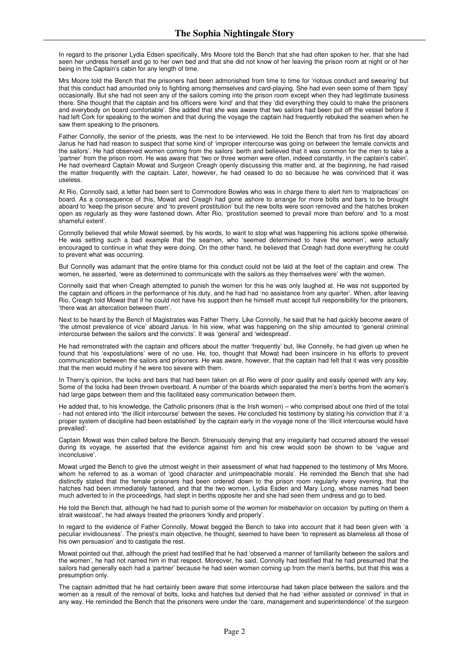In regard to the prisoner Lydia Edsen specifically, Mrs Moore told the Bench that she had often spoken to her, that she had seen her undress herself and go to her own bed and that she did not know of her leaving the prison room at night or of her being in the Captain's cabin for any length of time.

Mrs Moore told the Bench that the prisoners had been admonished from time to time for 'riotous conduct and swearing' but that this conduct had amounted only to fighting among themselves and card-playing. She had even seen some of them 'tipsy' occasionally. But she had not seen any of the sailors coming into the prison room except when they had legitimate business there. She thought that the captain and his officers were 'kind' and that they 'did everything they could to make the prisoners and everybody on board comfortable'. She added that she was aware that two sailors had been put off the vessel before it had left Cork for speaking to the women and that during the voyage the captain had frequently rebuked the seamen when he saw them speaking to the prisoners.

Father Connolly, the senior of the priests, was the next to be interviewed. He told the Bench that from his first day aboard Janus he had had reason to suspect that some kind of 'improper intercourse was going on between the female convicts and the sailors'. He had observed women coming from the sailors' berth and believed that it was common for the men to take a 'partner' from the prison room. He was aware that 'two or three women were often, indeed constantly, in the captain's cabin'. He had overheard Captain Mowat and Surgeon Creagh openly discussing this matter and, at the beginning, he had raised the matter frequently with the captain. Later, however, he had ceased to do so because he was convinced that it was useless.

At Rio, Connolly said, a letter had been sent to Commodore Bowles who was in charge there to alert him to 'malpractices' on board. As a consequence of this, Mowat and Creagh had gone ashore to arrange for more bolts and bars to be brought aboard to 'keep the prison secure' and 'to prevent prostitution' but the new bolts were soon removed and the hatches broken open as regularly as they were fastened down. After Rio, 'prostitution seemed to prevail more than before' and 'to a most shameful extent'.

Connolly believed that while Mowat seemed, by his words, to want to stop what was happening his actions spoke otherwise. He was setting such a bad example that the seamen, who 'seemed determined to have the women', were actually encouraged to continue in what they were doing. On the other hand, he believed that Creagh had done everything he could to prevent what was occurring.

But Connolly was adamant that the entire blame for this conduct could not be laid at the feet of the captain and crew. The women, he asserted, 'were as determined to communicate with the sailors as they themselves were' with the women.

Connelly said that when Creagh attempted to punish the women for this he was only laughed at. He was not supported by the captain and officers in the performance of his duty, and he had had 'no assistance from any quarter'. When, after leaving Rio, Creagh told Mowat that if he could not have his support then he himself must accept full responsibility for the prisoners, 'there was an altercation between them'.

Next to be heard by the Bench of Magistrates was Father Therry. Like Connolly, he said that he had quickly become aware of 'the utmost prevalence of vice' aboard Janus. In his view, what was happening on the ship amounted to 'general criminal intercourse between the sailors and the convicts'. It was 'general' and 'widespread'.

He had remonstrated with the captain and officers about the matter 'frequently' but, like Connelly, he had given up when he found that his 'expostulations' were of no use. He, too, thought that Mowat had been insincere in his efforts to prevent communication between the sailors and prisoners. He was aware, however, that the captain had felt that it was very possible that the men would mutiny if he were too severe with them.

In Therry's opinion, the locks and bars that had been taken on at Rio were of poor quality and easily opened with any key. Some of the locks had been thrown overboard. A number of the boards which separated the men's berths from the women's had large gaps between them and this facilitated easy communication between them.

He added that, to his knowledge, the Catholic prisoners (that is the Irish women) – who comprised about one third of the total - had not entered into 'the illicit intercourse' between the sexes. He concluded his testimony by stating his conviction that if 'a proper system of discipline had been established' by the captain early in the voyage none of the 'illicit intercourse would have prevailed'.

Captain Mowat was then called before the Bench. Strenuously denying that any irregularity had occurred aboard the vessel during its voyage, he asserted that the evidence against him and his crew would soon be shown to be 'vague and inconclusive'.

Mowat urged the Bench to give the utmost weight in their assessment of what had happened to the testimony of Mrs Moore, whom he referred to as a woman of 'good character and unimpeachable morals'. He reminded the Bench that she had distinctly stated that the female prisoners had been ordered down to the prison room regularly every evening, that the hatches had been immediately fastened, and that the two women, Lydia Esden and Mary Long, whose names had been much adverted to in the proceedings, had slept in berths opposite her and she had seen them undress and go to bed.

He told the Bench that, although he had had to punish some of the women for misbehavior on occasion 'by putting on them a strait waistcoat', he had always treated the prisoners 'kindly and properly'.

In regard to the evidence of Father Connolly, Mowat begged the Bench to take into account that it had been given with 'a peculiar invidiousness'. The priest's main objective, he thought, seemed to have been 'to represent as blameless all those of his own persuasion' and to castigate the rest.

Mowat pointed out that, although the priest had testified that he had 'observed a manner of familiarity between the sailors and the women', he had not named him in that respect. Moreover, he said, Connolly had testified that he had presumed that the sailors had generally each had a 'partner' because he had seen women coming up from the men's berths, but that this was a presumption only.

The captain admitted that he had certainly been aware that some intercourse had taken place between the sailors and the women as a result of the removal of bolts, locks and hatches but denied that he had 'either assisted or connived' in that in any way. He reminded the Bench that the prisoners were under the 'care, management and superintendence' of the surgeon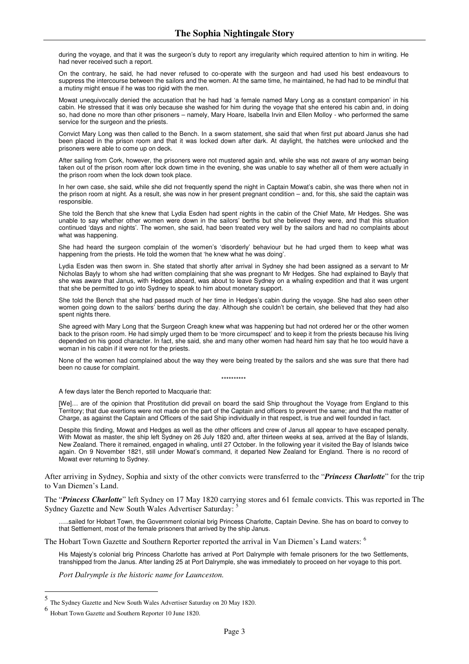during the voyage, and that it was the surgeon's duty to report any irregularity which required attention to him in writing. He had never received such a report.

On the contrary, he said, he had never refused to co-operate with the surgeon and had used his best endeavours to suppress the intercourse between the sailors and the women. At the same time, he maintained, he had had to be mindful that a mutiny might ensue if he was too rigid with the men.

Mowat unequivocally denied the accusation that he had had 'a female named Mary Long as a constant companion' in his cabin. He stressed that it was only because she washed for him during the voyage that she entered his cabin and, in doing so, had done no more than other prisoners – namely, Mary Hoare, Isabella Irvin and Ellen Molloy - who performed the same service for the surgeon and the priests.

Convict Mary Long was then called to the Bench. In a sworn statement, she said that when first put aboard Janus she had been placed in the prison room and that it was locked down after dark. At daylight, the hatches were unlocked and the prisoners were able to come up on deck.

After sailing from Cork, however, the prisoners were not mustered again and, while she was not aware of any woman being taken out of the prison room after lock down time in the evening, she was unable to say whether all of them were actually in the prison room when the lock down took place.

In her own case, she said, while she did not frequently spend the night in Captain Mowat's cabin, she was there when not in the prison room at night. As a result, she was now in her present pregnant condition – and, for this, she said the captain was responsible.

She told the Bench that she knew that Lydia Esden had spent nights in the cabin of the Chief Mate, Mr Hedges. She was unable to say whether other women were down in the sailors' berths but she believed they were, and that this situation continued 'days and nights'. The women, she said, had been treated very well by the sailors and had no complaints about what was happening.

She had heard the surgeon complain of the women's 'disorderly' behaviour but he had urged them to keep what was happening from the priests. He told the women that 'he knew what he was doing'.

Lydia Esden was then sworn in. She stated that shortly after arrival in Sydney she had been assigned as a servant to Mr Nicholas Bayly to whom she had written complaining that she was pregnant to Mr Hedges. She had explained to Bayly that she was aware that Janus, with Hedges aboard, was about to leave Sydney on a whaling expedition and that it was urgent that she be permitted to go into Sydney to speak to him about monetary support.

She told the Bench that she had passed much of her time in Hedges's cabin during the voyage. She had also seen other women going down to the sailors' berths during the day. Although she couldn't be certain, she believed that they had also spent nights there.

She agreed with Mary Long that the Surgeon Creagh knew what was happening but had not ordered her or the other women back to the prison room. He had simply urged them to be 'more circumspect' and to keep it from the priests because his living depended on his good character. In fact, she said, she and many other women had heard him say that he too would have a woman in his cabin if it were not for the priests.

None of the women had complained about the way they were being treated by the sailors and she was sure that there had been no cause for complaint.

\*\*\*\*\*\*\*\*\*\*

A few days later the Bench reported to Macquarie that:

[We]… are of the opinion that Prostitution did prevail on board the said Ship throughout the Voyage from England to this Territory; that due exertions were not made on the part of the Captain and officers to prevent the same; and that the matter of Charge, as against the Captain and Officers of the said Ship individually in that respect, is true and well founded in fact.

Despite this finding, Mowat and Hedges as well as the other officers and crew of Janus all appear to have escaped penalty. With Mowat as master, the ship left Sydney on 26 July 1820 and, after thirteen weeks at sea, arrived at the Bay of Islands, New Zealand. There it remained, engaged in whaling, until 27 October. In the following year it visited the Bay of Islands twice again. On 9 November 1821, still under Mowat's command, it departed New Zealand for England. There is no record of Mowat ever returning to Sydney.

After arriving in Sydney, Sophia and sixty of the other convicts were transferred to the "*Princess Charlotte*" for the trip to Van Diemen's Land.

The "*Princess Charlotte*" left Sydney on 17 May 1820 carrying stores and 61 female convicts. This was reported in The Sydney Gazette and New South Wales Advertiser Saturday:

…..sailed for Hobart Town, the Government colonial brig Princess Charlotte, Captain Devine. She has on board to convey to that Settlement, most of the female prisoners that arrived by the ship Janus.

The Hobart Town Gazette and Southern Reporter reported the arrival in Van Diemen's Land waters: <sup>6</sup>

His Majesty's colonial brig Princess Charlotte has arrived at Port Dalrymple with female prisoners for the two Settlements, transhipped from the Janus. After landing 25 at Port Dalrymple, she was immediately to proceed on her voyage to this port.

*Port Dalrymple is the historic name for Launceston.*

<sup>5</sup> The Sydney Gazette and New South Wales Advertiser Saturday on 20 May 1820.

<sup>6</sup> Hobart Town Gazette and Southern Reporter 10 June 1820.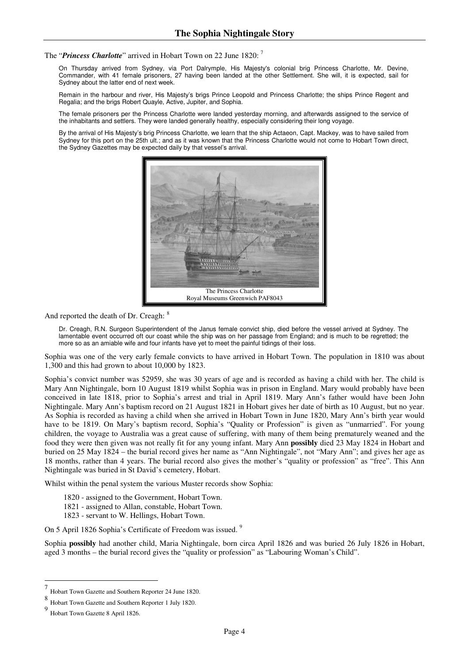The "*Princess Charlotte*" arrived in Hobart Town on 22 June 1820: <sup>7</sup>

On Thursday arrived from Sydney, via Port Dalrymple, His Majesty's colonial brig Princess Charlotte, Mr. Devine, Commander, with 41 female prisoners, 27 having been landed at the other Settlement. She will, it is expected, sail for Sydney about the latter end of next week.

Remain in the harbour and river, His Majesty's brigs Prince Leopold and Princess Charlotte; the ships Prince Regent and Regalia; and the brigs Robert Quayle, Active, Jupiter, and Sophia.

The female prisoners per the Princess Charlotte were landed yesterday morning, and afterwards assigned to the service of the inhabitants and settlers. They were landed generally healthy, especially considering their long voyage.

By the arrival of His Majesty's brig Princess Charlotte, we learn that the ship Actaeon, Capt. Mackey, was to have sailed from Sydney for this port on the 25th ult.; and as it was known that the Princess Charlotte would not come to Hobart Town direct, the Sydney Gazettes may be expected daily by that vessel's arrival.



And reported the death of Dr. Creagh:  $8$ 

Dr. Creagh, R.N. Surgeon Superintendent of the Janus female convict ship, died before the vessel arrived at Sydney. The lamentable event occurred oft our coast while the ship was on her passage from England; and is much to be regretted; the more so as an amiable wife and four infants have yet to meet the painful tidings of their loss.

Sophia was one of the very early female convicts to have arrived in Hobart Town. The population in 1810 was about 1,300 and this had grown to about 10,000 by 1823.

Sophia's convict number was 52959, she was 30 years of age and is recorded as having a child with her. The child is Mary Ann Nightingale, born 10 August 1819 whilst Sophia was in prison in England. Mary would probably have been conceived in late 1818, prior to Sophia's arrest and trial in April 1819. Mary Ann's father would have been John Nightingale. Mary Ann's baptism record on 21 August 1821 in Hobart gives her date of birth as 10 August, but no year. As Sophia is recorded as having a child when she arrived in Hobart Town in June 1820, Mary Ann's birth year would have to be 1819. On Mary's baptism record, Sophia's "Quality or Profession" is given as "unmarried". For young children, the voyage to Australia was a great cause of suffering, with many of them being prematurely weaned and the food they were then given was not really fit for any young infant. Mary Ann **possibly** died 23 May 1824 in Hobart and buried on 25 May 1824 – the burial record gives her name as "Ann Nightingale", not "Mary Ann"; and gives her age as 18 months, rather than 4 years. The burial record also gives the mother's "quality or profession" as "free". This Ann Nightingale was buried in St David's cemetery, Hobart.

Whilst within the penal system the various Muster records show Sophia:

- 1820 assigned to the Government, Hobart Town.
- 1821 assigned to Allan, constable, Hobart Town.
- 1823 servant to W. Hellings, Hobart Town.

On 5 April 1826 Sophia's Certificate of Freedom was issued.<sup>9</sup>

Sophia **possibly** had another child, Maria Nightingale, born circa April 1826 and was buried 26 July 1826 in Hobart, aged 3 months – the burial record gives the "quality or profession" as "Labouring Woman's Child".

<sup>7</sup> Hobart Town Gazette and Southern Reporter 24 June 1820.

<sup>8</sup> Hobart Town Gazette and Southern Reporter 1 July 1820.

<sup>9</sup> Hobart Town Gazette 8 April 1826.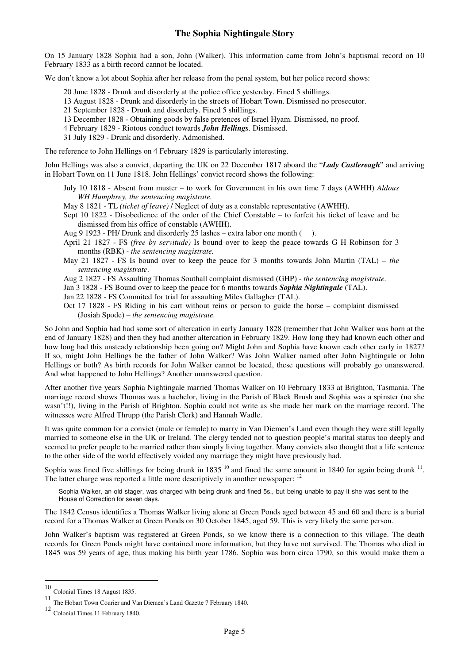On 15 January 1828 Sophia had a son, John (Walker). This information came from John's baptismal record on 10 February 1833 as a birth record cannot be located.

We don't know a lot about Sophia after her release from the penal system, but her police record shows:

20 June 1828 - Drunk and disorderly at the police office yesterday. Fined 5 shillings.

- 13 August 1828 Drunk and disorderly in the streets of Hobart Town. Dismissed no prosecutor.
- 21 September 1828 Drunk and disorderly. Fined 5 shillings.
- 13 December 1828 Obtaining goods by false pretences of Israel Hyam. Dismissed, no proof.
- 4 February 1829 Riotous conduct towards *John Hellings*. Dismissed.
- 31 July 1829 Drunk and disorderly. Admonished.

The reference to John Hellings on 4 February 1829 is particularly interesting.

John Hellings was also a convict, departing the UK on 22 December 1817 aboard the "*Lady Castlereagh*" and arriving in Hobart Town on 11 June 1818. John Hellings' convict record shows the following:

July 10 1818 - Absent from muster – to work for Government in his own time 7 days (AWHH) *Aldous WH Humphrey, the sentencing magistrate.*

- May 8 1821 TL *(ticket of leave)* / Neglect of duty as a constable representative (AWHH).
- Sept 10 1822 Disobedience of the order of the Chief Constable to forfeit his ticket of leave and be dismissed from his office of constable (AWHH).

Aug 9 1923 - PH/ Drunk and disorderly 25 lashes – extra labor one month ( ).

- April 21 1827 FS *(free by servitude)* Is bound over to keep the peace towards G H Robinson for 3 months (RBK) - *the sentencing magistrate.*
- May 21 1827 FS Is bound over to keep the peace for 3 months towards John Martin (TAL) *the sentencing magistrate*.
- Aug 2 1827 FS Assaulting Thomas Southall complaint dismissed (GHP) *the sentencing magistrate.*
- Jan 3 1828 FS Bound over to keep the peace for 6 months towards *Sophia Nightingale* (TAL).
- Jan 22 1828 FS Commited for trial for assaulting Miles Gallagher (TAL).
- Oct 17 1828 FS Riding in his cart without reins or person to guide the horse complaint dismissed (Josiah Spode) – *the sentencing magistrate.*

So John and Sophia had had some sort of altercation in early January 1828 (remember that John Walker was born at the end of January 1828) and then they had another altercation in February 1829. How long they had known each other and how long had this unsteady relationship been going on? Might John and Sophia have known each other early in 1827? If so, might John Hellings be the father of John Walker? Was John Walker named after John Nightingale or John Hellings or both? As birth records for John Walker cannot be located, these questions will probably go unanswered. And what happened to John Hellings? Another unanswered question.

After another five years Sophia Nightingale married Thomas Walker on 10 February 1833 at Brighton, Tasmania. The marriage record shows Thomas was a bachelor, living in the Parish of Black Brush and Sophia was a spinster (no she wasn't!!), living in the Parish of Brighton. Sophia could not write as she made her mark on the marriage record. The witnesses were Alfred Thrupp (the Parish Clerk) and Hannah Wadle.

It was quite common for a convict (male or female) to marry in Van Diemen's Land even though they were still legally married to someone else in the UK or Ireland. The clergy tended not to question people's marital status too deeply and seemed to prefer people to be married rather than simply living together. Many convicts also thought that a life sentence to the other side of the world effectively voided any marriage they might have previously had.

Sophia was fined five shillings for being drunk in 1835  $^{10}$  and fined the same amount in 1840 for again being drunk  $^{11}$ . The latter charge was reported a little more descriptively in another newspaper: <sup>12</sup>

Sophia Walker, an old stager, was charged with being drunk and fined 5s., but being unable to pay it she was sent to the House of Correction for seven days.

The 1842 Census identifies a Thomas Walker living alone at Green Ponds aged between 45 and 60 and there is a burial record for a Thomas Walker at Green Ponds on 30 October 1845, aged 59. This is very likely the same person.

John Walker's baptism was registered at Green Ponds, so we know there is a connection to this village. The death records for Green Ponds might have contained more information, but they have not survived. The Thomas who died in 1845 was 59 years of age, thus making his birth year 1786. Sophia was born circa 1790, so this would make them a

<sup>10</sup> Colonial Times 18 August 1835.

<sup>11</sup> The Hobart Town Courier and Van Diemen's Land Gazette 7 February 1840.

<sup>12</sup> Colonial Times 11 February 1840.